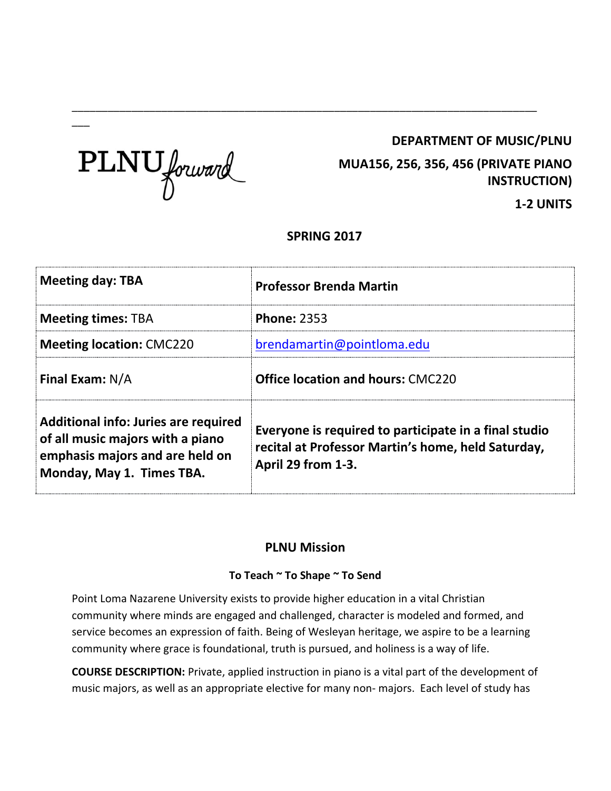# **DEPARTMENT OF MUSIC/PLNU**



 $\overline{\phantom{a}}$ 

**MUA156, 256, 356, 456 (PRIVATE PIANO INSTRUCTION)**

**1-2 UNITS**

# **SPRING 2017**

\_\_\_\_\_\_\_\_\_\_\_\_\_\_\_\_\_\_\_\_\_\_\_\_\_\_\_\_\_\_\_\_\_\_\_\_\_\_\_\_\_\_\_\_\_\_\_\_\_\_\_\_\_\_\_\_\_\_\_\_\_\_\_\_\_\_\_\_\_\_\_\_\_\_\_\_\_\_

| <b>Meeting day: TBA</b>                                                                                                                  | <b>Professor Brenda Martin</b>                                                                                                    |  |
|------------------------------------------------------------------------------------------------------------------------------------------|-----------------------------------------------------------------------------------------------------------------------------------|--|
| <b>Meeting times: TBA</b>                                                                                                                | <b>Phone: 2353</b>                                                                                                                |  |
| <b>Meeting location: CMC220</b>                                                                                                          | brendamartin@pointloma.edu                                                                                                        |  |
| <b>Final Exam: N/A</b>                                                                                                                   | <b>Office location and hours: CMC220</b>                                                                                          |  |
| Additional info: Juries are required<br>of all music majors with a piano<br>emphasis majors and are held on<br>Monday, May 1. Times TBA. | Everyone is required to participate in a final studio<br>recital at Professor Martin's home, held Saturday,<br>April 29 from 1-3. |  |

# **PLNU Mission**

### **To Teach ~ To Shape ~ To Send**

Point Loma Nazarene University exists to provide higher education in a vital Christian community where minds are engaged and challenged, character is modeled and formed, and service becomes an expression of faith. Being of Wesleyan heritage, we aspire to be a learning community where grace is foundational, truth is pursued, and holiness is a way of life.

**COURSE DESCRIPTION:** Private, applied instruction in piano is a vital part of the development of music majors, as well as an appropriate elective for many non- majors. Each level of study has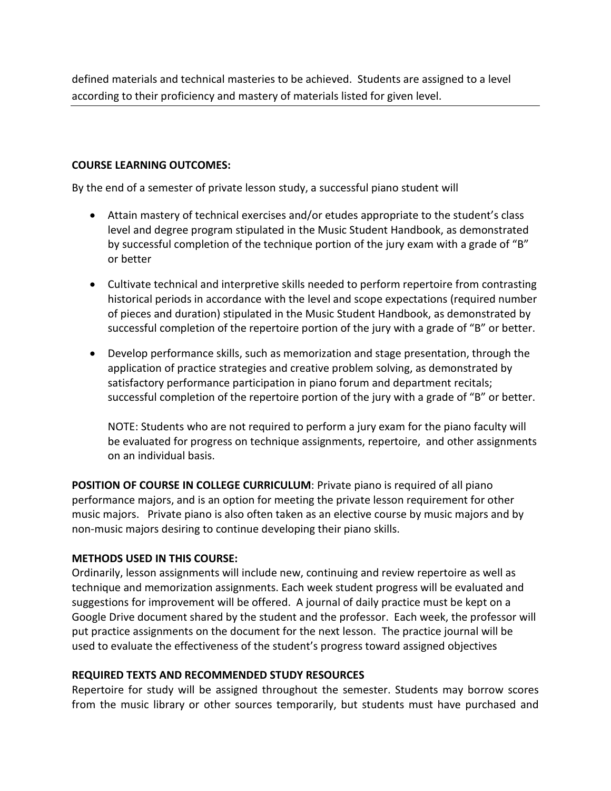defined materials and technical masteries to be achieved. Students are assigned to a level according to their proficiency and mastery of materials listed for given level.

#### **COURSE LEARNING OUTCOMES:**

By the end of a semester of private lesson study, a successful piano student will

- Attain mastery of technical exercises and/or etudes appropriate to the student's class level and degree program stipulated in the Music Student Handbook, as demonstrated by successful completion of the technique portion of the jury exam with a grade of "B" or better
- Cultivate technical and interpretive skills needed to perform repertoire from contrasting historical periods in accordance with the level and scope expectations (required number of pieces and duration) stipulated in the Music Student Handbook, as demonstrated by successful completion of the repertoire portion of the jury with a grade of "B" or better.
- Develop performance skills, such as memorization and stage presentation, through the application of practice strategies and creative problem solving, as demonstrated by satisfactory performance participation in piano forum and department recitals; successful completion of the repertoire portion of the jury with a grade of "B" or better.

NOTE: Students who are not required to perform a jury exam for the piano faculty will be evaluated for progress on technique assignments, repertoire, and other assignments on an individual basis.

**POSITION OF COURSE IN COLLEGE CURRICULUM**: Private piano is required of all piano performance majors, and is an option for meeting the private lesson requirement for other music majors. Private piano is also often taken as an elective course by music majors and by non-music majors desiring to continue developing their piano skills.

#### **METHODS USED IN THIS COURSE:**

Ordinarily, lesson assignments will include new, continuing and review repertoire as well as technique and memorization assignments. Each week student progress will be evaluated and suggestions for improvement will be offered. A journal of daily practice must be kept on a Google Drive document shared by the student and the professor. Each week, the professor will put practice assignments on the document for the next lesson. The practice journal will be used to evaluate the effectiveness of the student's progress toward assigned objectives

#### **REQUIRED TEXTS AND RECOMMENDED STUDY RESOURCES**

Repertoire for study will be assigned throughout the semester. Students may borrow scores from the music library or other sources temporarily, but students must have purchased and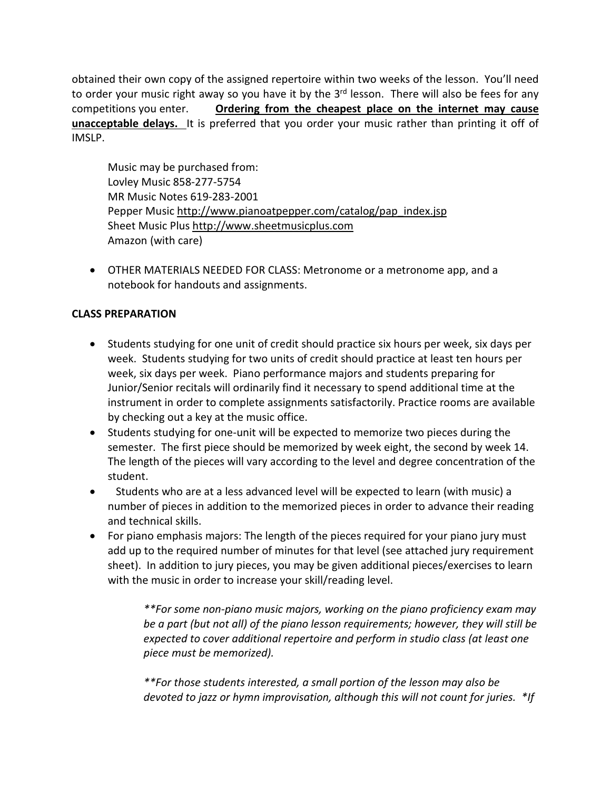obtained their own copy of the assigned repertoire within two weeks of the lesson. You'll need to order your music right away so you have it by the 3<sup>rd</sup> lesson. There will also be fees for any competitions you enter. **Ordering from the cheapest place on the internet may cause unacceptable delays.** It is preferred that you order your music rather than printing it off of IMSLP.

Music may be purchased from: Lovley Music 858-277-5754 MR Music Notes 619-283-2001 Pepper Music [http://www.pianoatpepper.com/catalog/pap\\_index.jsp](http://www.pianoatpepper.com/catalog/pap_index.jsp) Sheet Music Plus [http://www.sheetmusicplus.com](http://www.sheetmusicplus.com/) Amazon (with care)

• OTHER MATERIALS NEEDED FOR CLASS: Metronome or a metronome app, and a notebook for handouts and assignments.

# **CLASS PREPARATION**

- Students studying for one unit of credit should practice six hours per week, six days per week. Students studying for two units of credit should practice at least ten hours per week, six days per week. Piano performance majors and students preparing for Junior/Senior recitals will ordinarily find it necessary to spend additional time at the instrument in order to complete assignments satisfactorily. Practice rooms are available by checking out a key at the music office.
- Students studying for one-unit will be expected to memorize two pieces during the semester. The first piece should be memorized by week eight, the second by week 14. The length of the pieces will vary according to the level and degree concentration of the student.
- Students who are at a less advanced level will be expected to learn (with music) a number of pieces in addition to the memorized pieces in order to advance their reading and technical skills.
- For piano emphasis majors: The length of the pieces required for your piano jury must add up to the required number of minutes for that level (see attached jury requirement sheet). In addition to jury pieces, you may be given additional pieces/exercises to learn with the music in order to increase your skill/reading level.

*\*\*For some non-piano music majors, working on the piano proficiency exam may be a part (but not all) of the piano lesson requirements; however, they will still be expected to cover additional repertoire and perform in studio class (at least one piece must be memorized).*

*\*\*For those students interested, a small portion of the lesson may also be devoted to jazz or hymn improvisation, although this will not count for juries. \*If*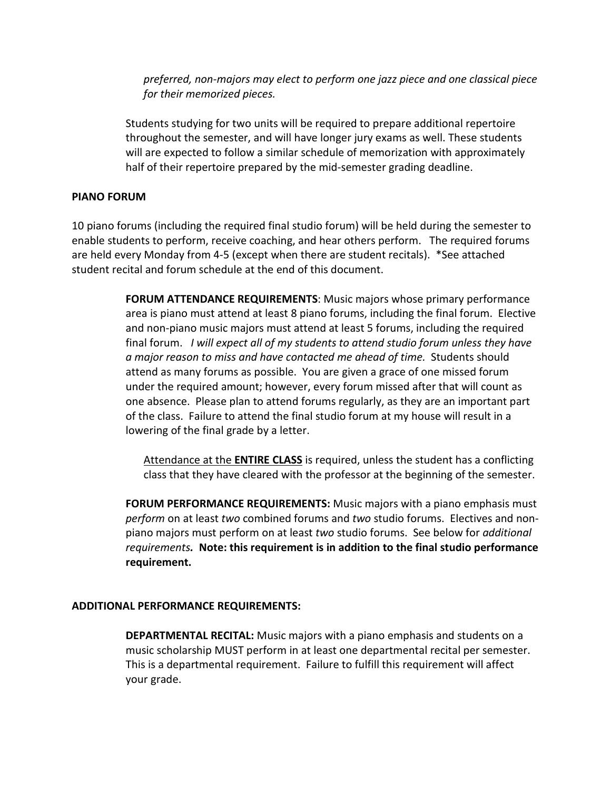*preferred, non-majors may elect to perform one jazz piece and one classical piece for their memorized pieces.* 

Students studying for two units will be required to prepare additional repertoire throughout the semester, and will have longer jury exams as well. These students will are expected to follow a similar schedule of memorization with approximately half of their repertoire prepared by the mid-semester grading deadline.

### **PIANO FORUM**

10 piano forums (including the required final studio forum) will be held during the semester to enable students to perform, receive coaching, and hear others perform. The required forums are held every Monday from 4-5 (except when there are student recitals). \*See attached student recital and forum schedule at the end of this document.

> **FORUM ATTENDANCE REQUIREMENTS**: Music majors whose primary performance area is piano must attend at least 8 piano forums, including the final forum. Elective and non-piano music majors must attend at least 5 forums, including the required final forum. *I will expect all of my students to attend studio forum unless they have a major reason to miss and have contacted me ahead of time.* Students should attend as many forums as possible. You are given a grace of one missed forum under the required amount; however, every forum missed after that will count as one absence. Please plan to attend forums regularly, as they are an important part of the class. Failure to attend the final studio forum at my house will result in a lowering of the final grade by a letter.

Attendance at the **ENTIRE CLASS** is required, unless the student has a conflicting class that they have cleared with the professor at the beginning of the semester.

**FORUM PERFORMANCE REQUIREMENTS:** Music majors with a piano emphasis must *perform* on at least *two* combined forums and *two* studio forums. Electives and nonpiano majors must perform on at least *two* studio forums. See below for *additional requirements.* **Note: this requirement is in addition to the final studio performance requirement.**

#### **ADDITIONAL PERFORMANCE REQUIREMENTS:**

**DEPARTMENTAL RECITAL:** Music majors with a piano emphasis and students on a music scholarship MUST perform in at least one departmental recital per semester. This is a departmental requirement. Failure to fulfill this requirement will affect your grade.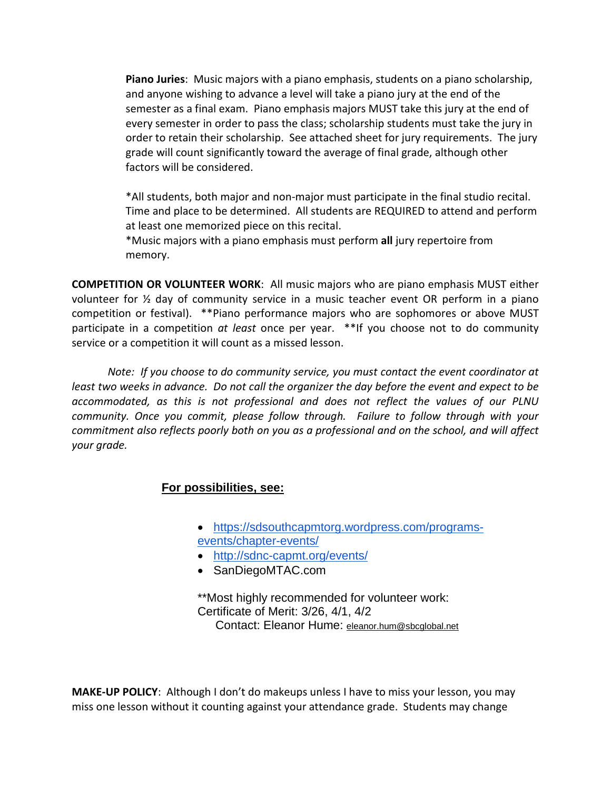**Piano Juries**: Music majors with a piano emphasis, students on a piano scholarship, and anyone wishing to advance a level will take a piano jury at the end of the semester as a final exam. Piano emphasis majors MUST take this jury at the end of every semester in order to pass the class; scholarship students must take the jury in order to retain their scholarship. See attached sheet for jury requirements. The jury grade will count significantly toward the average of final grade, although other factors will be considered.

\*All students, both major and non-major must participate in the final studio recital. Time and place to be determined. All students are REQUIRED to attend and perform at least one memorized piece on this recital.

\*Music majors with a piano emphasis must perform **all** jury repertoire from memory.

**COMPETITION OR VOLUNTEER WORK**: All music majors who are piano emphasis MUST either volunteer for ½ day of community service in a music teacher event OR perform in a piano competition or festival). \*\*Piano performance majors who are sophomores or above MUST participate in a competition *at least* once per year. \*\*If you choose not to do community service or a competition it will count as a missed lesson.

*Note: If you choose to do community service, you must contact the event coordinator at least two weeks in advance. Do not call the organizer the day before the event and expect to be accommodated, as this is not professional and does not reflect the values of our PLNU community. Once you commit, please follow through. Failure to follow through with your commitment also reflects poorly both on you as a professional and on the school, and will affect your grade.* 

#### **For possibilities, see:**

- [https://sdsouthcapmtorg.wordpress.com/programs-](https://sdsouthcapmtorg.wordpress.com/programs-events/chapter-events/)
- [events/chapter-events/](https://sdsouthcapmtorg.wordpress.com/programs-events/chapter-events/)
- <http://sdnc-capmt.org/events/>
- SanDiegoMTAC.com

\*\*Most highly recommended for volunteer work: Certificate of Merit: 3/26, 4/1, 4/2 Contact: Eleanor Hume: [eleanor.hum@sbcglobal.net](mailto:eleanor.hum@sbcglobal.net)

**MAKE-UP POLICY**: Although I don't do makeups unless I have to miss your lesson, you may miss one lesson without it counting against your attendance grade. Students may change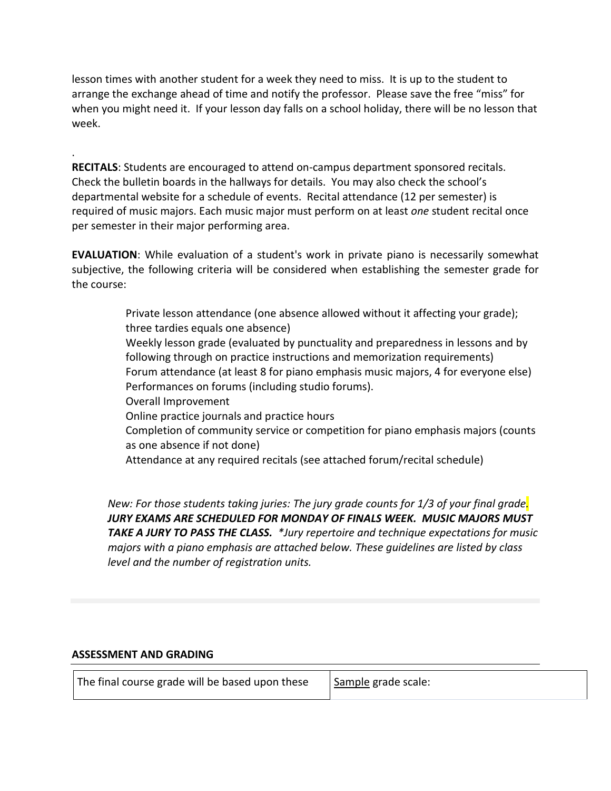lesson times with another student for a week they need to miss. It is up to the student to arrange the exchange ahead of time and notify the professor. Please save the free "miss" for when you might need it. If your lesson day falls on a school holiday, there will be no lesson that week.

**RECITALS**: Students are encouraged to attend on-campus department sponsored recitals. Check the bulletin boards in the hallways for details. You may also check the school's departmental website for a schedule of events. Recital attendance (12 per semester) is required of music majors. Each music major must perform on at least *one* student recital once per semester in their major performing area.

**EVALUATION**: While evaluation of a student's work in private piano is necessarily somewhat subjective, the following criteria will be considered when establishing the semester grade for the course:

> Private lesson attendance (one absence allowed without it affecting your grade); three tardies equals one absence) Weekly lesson grade (evaluated by punctuality and preparedness in lessons and by following through on practice instructions and memorization requirements) Forum attendance (at least 8 for piano emphasis music majors, 4 for everyone else) Performances on forums (including studio forums). Overall Improvement Online practice journals and practice hours Completion of community service or competition for piano emphasis majors (counts as one absence if not done) Attendance at any required recitals (see attached forum/recital schedule)

*New: For those students taking juries: The jury grade counts for 1/3 of your final grade. JURY EXAMS ARE SCHEDULED FOR MONDAY OF FINALS WEEK. MUSIC MAJORS MUST TAKE A JURY TO PASS THE CLASS. \*Jury repertoire and technique expectations for music majors with a piano emphasis are attached below. These guidelines are listed by class level and the number of registration units.*

#### **ASSESSMENT AND GRADING**

.

| The final course grade will be based upon these | Sample grade scale: |
|-------------------------------------------------|---------------------|
|-------------------------------------------------|---------------------|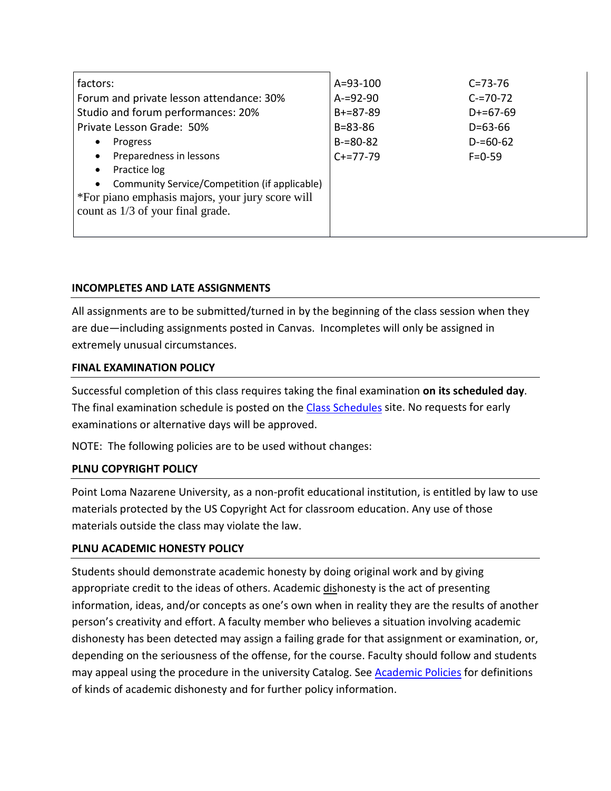| factors:                                                   | $A = 93 - 100$ | $C = 73 - 76$ |
|------------------------------------------------------------|----------------|---------------|
| Forum and private lesson attendance: 30%                   | $A = 92 - 90$  | $C = 70 - 72$ |
| Studio and forum performances: 20%                         | $B+=87-89$     | $D+ = 67-69$  |
| Private Lesson Grade: 50%                                  | $B = 83 - 86$  | $D = 63 - 66$ |
| Progress                                                   | $B = 80 - 82$  | $D = 60 - 62$ |
| Preparedness in lessons                                    | $C+=77-79$     | $F = 0 - 59$  |
| Practice log<br>$\bullet$                                  |                |               |
| Community Service/Competition (if applicable)<br>$\bullet$ |                |               |
| *For piano emphasis majors, your jury score will           |                |               |
| count as 1/3 of your final grade.                          |                |               |
|                                                            |                |               |

### **INCOMPLETES AND LATE ASSIGNMENTS**

All assignments are to be submitted/turned in by the beginning of the class session when they are due—including assignments posted in Canvas. Incompletes will only be assigned in extremely unusual circumstances.

#### **FINAL EXAMINATION POLICY**

Successful completion of this class requires taking the final examination **on its scheduled day**. The final examination schedule is posted on the Class [Schedules](http://www.pointloma.edu/experience/academics/class-schedules) site. No requests for early examinations or alternative days will be approved.

NOTE: The following policies are to be used without changes:

### **PLNU COPYRIGHT POLICY**

Point Loma Nazarene University, as a non-profit educational institution, is entitled by law to use materials protected by the US Copyright Act for classroom education. Any use of those materials outside the class may violate the law.

#### **PLNU ACADEMIC HONESTY POLICY**

Students should demonstrate academic honesty by doing original work and by giving appropriate credit to the ideas of others. Academic dishonesty is the act of presenting information, ideas, and/or concepts as one's own when in reality they are the results of another person's creativity and effort. A faculty member who believes a situation involving academic dishonesty has been detected may assign a failing grade for that assignment or examination, or, depending on the seriousness of the offense, for the course. Faculty should follow and students may appeal using the procedure in the university Catalog. See [Academic](http://catalog.pointloma.edu/content.php?catoid=18&navoid=1278) Policies for definitions of kinds of academic dishonesty and for further policy information.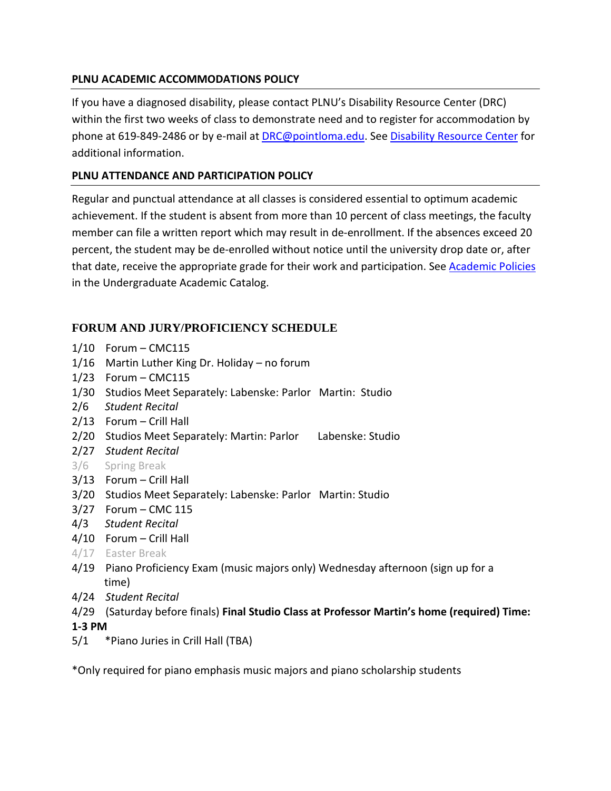### **PLNU ACADEMIC ACCOMMODATIONS POLICY**

If you have a diagnosed disability, please contact PLNU's Disability Resource Center (DRC) within the first two weeks of class to demonstrate need and to register for accommodation by phone at 619-849-2486 or by e-mail at **[DRC@pointloma.edu.](mailto:DRC@pointloma.edu)** See Disability [Resource](http://www.pointloma.edu/experience/offices/administrative-offices/academic-advising-office/disability-resource-center) Center for additional information.

# **PLNU ATTENDANCE AND PARTICIPATION POLICY**

Regular and punctual attendance at all classes is considered essential to optimum academic achievement. If the student is absent from more than 10 percent of class meetings, the faculty member can file a written report which may result in de-enrollment. If the absences exceed 20 percent, the student may be de-enrolled without notice until the university drop date or, after that date, receive the appropriate grade for their work and participation. See [Academic](http://catalog.pointloma.edu/content.php?catoid=18&navoid=1278) Policies in the Undergraduate Academic Catalog.

# **FORUM AND JURY/PROFICIENCY SCHEDULE**

- 1/10 Forum CMC115
- 1/16 Martin Luther King Dr. Holiday no forum
- 1/23 Forum CMC115
- 1/30 Studios Meet Separately: Labenske: Parlor Martin: Studio
- 2/6 *Student Recital*
- 2/13 Forum Crill Hall
- 2/20 Studios Meet Separately: Martin: Parlor Labenske: Studio
- 2/27 *Student Recital*
- 3/6 Spring Break
- 3/13 Forum Crill Hall
- 3/20 Studios Meet Separately: Labenske: Parlor Martin: Studio
- 3/27 Forum CMC 115
- 4/3 *Student Recital*
- 4/10 Forum Crill Hall
- 4/17 Easter Break
- 4/19 Piano Proficiency Exam (music majors only) Wednesday afternoon (sign up for a time)
- 4/24 *Student Recital*
- 4/29 (Saturday before finals) **Final Studio Class at Professor Martin's home (required) Time: 1-3 PM**
- 5/1 \*Piano Juries in Crill Hall (TBA)

\*Only required for piano emphasis music majors and piano scholarship students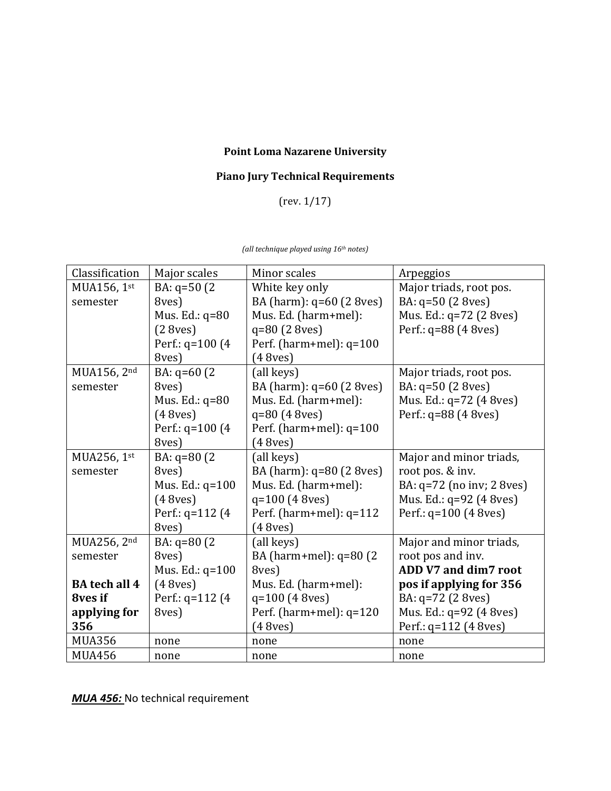# **Point Loma Nazarene University**

# **Piano Jury Technical Requirements**

(rev. 1/17)

*(all technique played using 16th notes)*

| Classification       | Major scales          | Minor scales              | Arpeggios                 |
|----------------------|-----------------------|---------------------------|---------------------------|
| MUA156, 1st          | BA: $q=50(2)$         | White key only            | Major triads, root pos.   |
| semester             | 8ves)                 | BA (harm): q=60 (2 8ves)  | BA: q=50 (2 8ves)         |
|                      | Mus. Ed.: q=80        | Mus. Ed. (harm+mel):      | Mus. Ed.: q=72 (2 8ves)   |
|                      | (2 8 <sub>ves</sub> ) | $q=80(2 8ves)$            | Perf.: q=88 (4 8 ves)     |
|                      | Perf.: $q=100$ (4)    | Perf. (harm+mel): $q=100$ |                           |
|                      | 8ves)                 | (48 <sub>ves</sub> )      |                           |
| MUA156, 2nd          | BA: q=60 (2)          | (all keys)                | Major triads, root pos.   |
| semester             | 8ves)                 | BA (harm): q=60 (2 8ves)  | BA: q=50 (2 8ves)         |
|                      | Mus. Ed.: $q=80$      | Mus. Ed. (harm+mel):      | Mus. Ed.: q=72 (4 8ves)   |
|                      | (48ves)               | $q=80(48ves)$             | Perf.: q=88 (4 8 ves)     |
|                      | Perf.: $q=100$ (4)    | Perf. (harm+mel): $q=100$ |                           |
|                      | 8ves)                 | (48ves)                   |                           |
| MUA256, 1st          | BA: q=80 (2)          | (all keys)                | Major and minor triads,   |
| semester             | 8ves)                 | BA (harm): q=80 (2 8 ves) | root pos. & inv.          |
|                      | Mus. Ed.: q=100       | Mus. Ed. (harm+mel):      | BA: q=72 (no inv; 2 8ves) |
|                      | (48ves)               | $q=100(48ves)$            | Mus. Ed.: q=92 (4 8ves)   |
|                      | Perf.: $q=112$ (4)    | Perf. (harm+mel): $q=112$ | Perf.: $q=100$ (4 8ves)   |
|                      | 8ves)                 | (48ves)                   |                           |
| MUA256, 2nd          | BA: $q=80(2)$         | (all keys)                | Major and minor triads,   |
| semester             | 8ves)                 | BA (harm+mel): q=80 (2)   | root pos and inv.         |
|                      | Mus. Ed.: q=100       | 8ves)                     | ADD V7 and dim7 root      |
| <b>BA</b> tech all 4 | (48ves)               | Mus. Ed. (harm+mel):      | pos if applying for 356   |
| 8ves if              | Perf.: q=112 (4)      | q=100 (4 8ves)            | BA: q=72 (2 8ves)         |
| applying for         | 8ves)                 | Perf. (harm+mel): $q=120$ | Mus. Ed.: q=92 (4 8ves)   |
| 356                  |                       | (48ves)                   | Perf.: q=112 (4 8ves)     |
| <b>MUA356</b>        | none                  | none                      | none                      |
| <b>MUA456</b>        | none                  | none                      | none                      |

*MUA 456:* No technical requirement